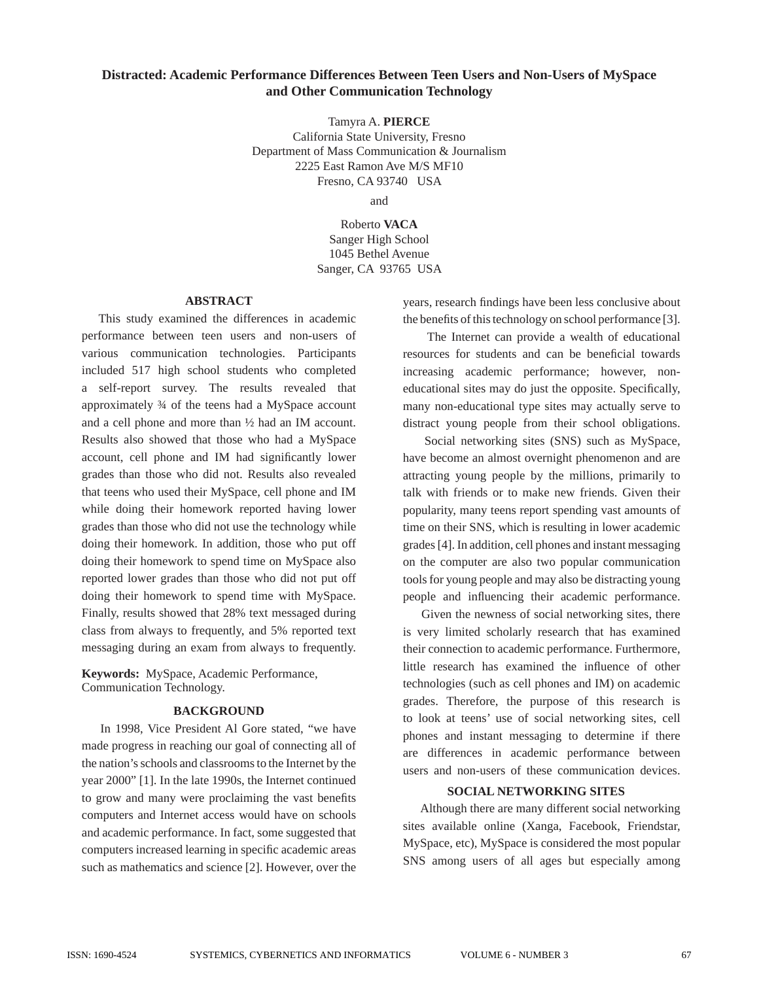# **Distracted: Academic Performance Differences Between Teen Users and Non-Users of MySpace and Other Communication Technology**

Tamyra A. **PIERCE**

California State University, Fresno Department of Mass Communication & Journalism 2225 East Ramon Ave M/S MF10 Fresno, CA 93740 USA

and

Roberto **VACA** Sanger High School 1045 Bethel Avenue Sanger, CA 93765 USA

## **ABSTRACT**

 This study examined the differences in academic performance between teen users and non-users of various communication technologies. Participants included 517 high school students who completed a self-report survey. The results revealed that approximately ¾ of the teens had a MySpace account and a cell phone and more than ½ had an IM account. Results also showed that those who had a MySpace account, cell phone and IM had significantly lower grades than those who did not. Results also revealed that teens who used their MySpace, cell phone and IM while doing their homework reported having lower grades than those who did not use the technology while doing their homework. In addition, those who put off doing their homework to spend time on MySpace also reported lower grades than those who did not put off doing their homework to spend time with MySpace. Finally, results showed that 28% text messaged during class from always to frequently, and 5% reported text messaging during an exam from always to frequently.

**Keywords:** MySpace, Academic Performance, Communication Technology.

# **BACKGROUND**

 In 1998, Vice President Al Gore stated, "we have made progress in reaching our goal of connecting all of the nation's schools and classrooms to the Internet by the year 2000" [1]. In the late 1990s, the Internet continued to grow and many were proclaiming the vast benefits computers and Internet access would have on schools and academic performance. In fact, some suggested that computers increased learning in specific academic areas such as mathematics and science [2]. However, over the years, research findings have been less conclusive about the benefits of this technology on school performance [3].

 The Internet can provide a wealth of educational resources for students and can be beneficial towards increasing academic performance; however, noneducational sites may do just the opposite. Specifically, many non-educational type sites may actually serve to distract young people from their school obligations.

 Social networking sites (SNS) such as MySpace, have become an almost overnight phenomenon and are attracting young people by the millions, primarily to talk with friends or to make new friends. Given their popularity, many teens report spending vast amounts of time on their SNS, which is resulting in lower academic grades [4]. In addition, cell phones and instant messaging on the computer are also two popular communication tools for young people and may also be distracting young people and influencing their academic performance.

 Given the newness of social networking sites, there is very limited scholarly research that has examined their connection to academic performance. Furthermore, little research has examined the influence of other technologies (such as cell phones and IM) on academic grades. Therefore, the purpose of this research is to look at teens' use of social networking sites, cell phones and instant messaging to determine if there are differences in academic performance between users and non-users of these communication devices.

### **SOCIAL NETWORKING SITES**

 Although there are many different social networking sites available online (Xanga, Facebook, Friendstar, MySpace, etc), MySpace is considered the most popular SNS among users of all ages but especially among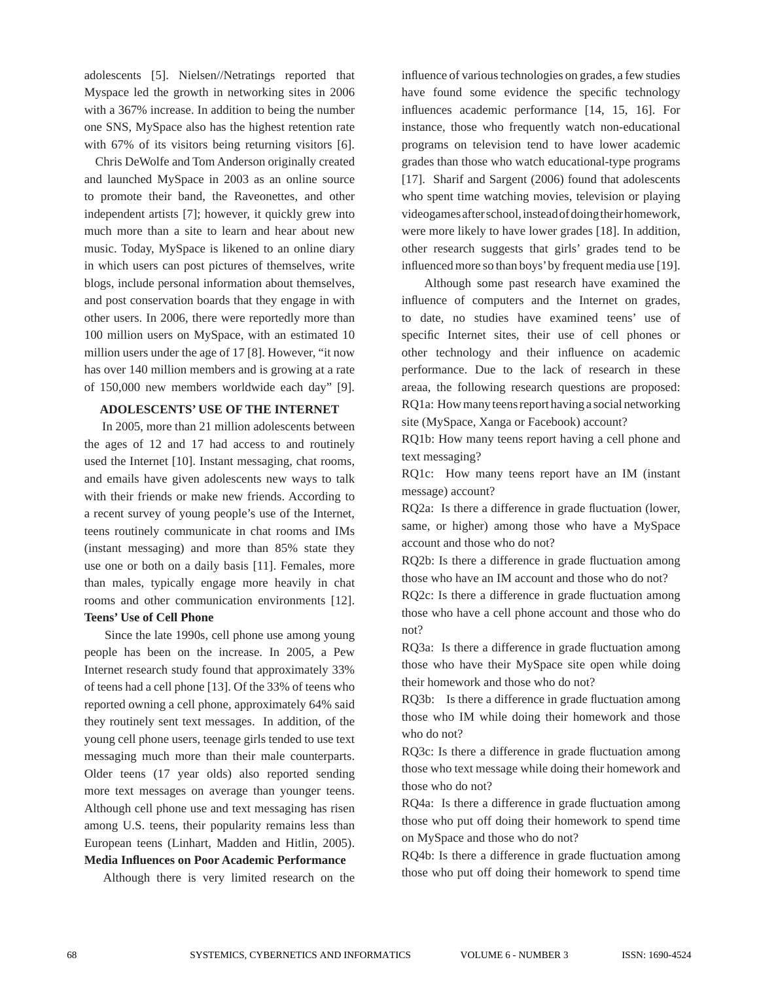adolescents [5]. Nielsen//Netratings reported that Myspace led the growth in networking sites in 2006 with a 367% increase. In addition to being the number one SNS, MySpace also has the highest retention rate with 67% of its visitors being returning visitors [6].

 Chris DeWolfe and Tom Anderson originally created and launched MySpace in 2003 as an online source to promote their band, the Raveonettes, and other independent artists [7]; however, it quickly grew into much more than a site to learn and hear about new music. Today, MySpace is likened to an online diary in which users can post pictures of themselves, write blogs, include personal information about themselves, and post conservation boards that they engage in with other users. In 2006, there were reportedly more than 100 million users on MySpace, with an estimated 10 million users under the age of 17 [8]. However, "it now has over 140 million members and is growing at a rate of 150,000 new members worldwide each day" [9].

# **ADOLESCENTS' USE OF THE INTERNET**

 In 2005, more than 21 million adolescents between the ages of 12 and 17 had access to and routinely used the Internet [10]. Instant messaging, chat rooms, and emails have given adolescents new ways to talk with their friends or make new friends. According to a recent survey of young people's use of the Internet, teens routinely communicate in chat rooms and IMs (instant messaging) and more than 85% state they use one or both on a daily basis [11]. Females, more than males, typically engage more heavily in chat rooms and other communication environments [12]. **Teens' Use of Cell Phone**

 Since the late 1990s, cell phone use among young people has been on the increase. In 2005, a Pew Internet research study found that approximately 33% of teens had a cell phone [13]. Of the 33% of teens who reported owning a cell phone, approximately 64% said they routinely sent text messages. In addition, of the young cell phone users, teenage girls tended to use text messaging much more than their male counterparts. Older teens (17 year olds) also reported sending more text messages on average than younger teens. Although cell phone use and text messaging has risen among U.S. teens, their popularity remains less than European teens (Linhart, Madden and Hitlin, 2005). **Media Infl uences on Poor Academic Performance**

Although there is very limited research on the

influence of various technologies on grades, a few studies have found some evidence the specific technology influences academic performance [14, 15, 16]. For instance, those who frequently watch non-educational programs on television tend to have lower academic grades than those who watch educational-type programs [17]. Sharif and Sargent (2006) found that adolescents who spent time watching movies, television or playing videogames after school, instead of doing their homework, were more likely to have lower grades [18]. In addition, other research suggests that girls' grades tend to be influenced more so than boys' by frequent media use [19].

 Although some past research have examined the influence of computers and the Internet on grades, to date, no studies have examined teens' use of specific Internet sites, their use of cell phones or other technology and their influence on academic performance. Due to the lack of research in these areaa, the following research questions are proposed: RQ1a: How many teens report having a social networking site (MySpace, Xanga or Facebook) account?

RQ1b: How many teens report having a cell phone and text messaging?

RQ1c: How many teens report have an IM (instant message) account?

RQ2a: Is there a difference in grade fluctuation (lower, same, or higher) among those who have a MySpace account and those who do not?

RQ2b: Is there a difference in grade fluctuation among those who have an IM account and those who do not?

RQ2c: Is there a difference in grade fluctuation among those who have a cell phone account and those who do not?

RQ3a: Is there a difference in grade fluctuation among those who have their MySpace site open while doing their homework and those who do not?

RQ3b: Is there a difference in grade fluctuation among those who IM while doing their homework and those who do not?

RQ3c: Is there a difference in grade fluctuation among those who text message while doing their homework and those who do not?

RQ4a: Is there a difference in grade fluctuation among those who put off doing their homework to spend time on MySpace and those who do not?

RQ4b: Is there a difference in grade fluctuation among those who put off doing their homework to spend time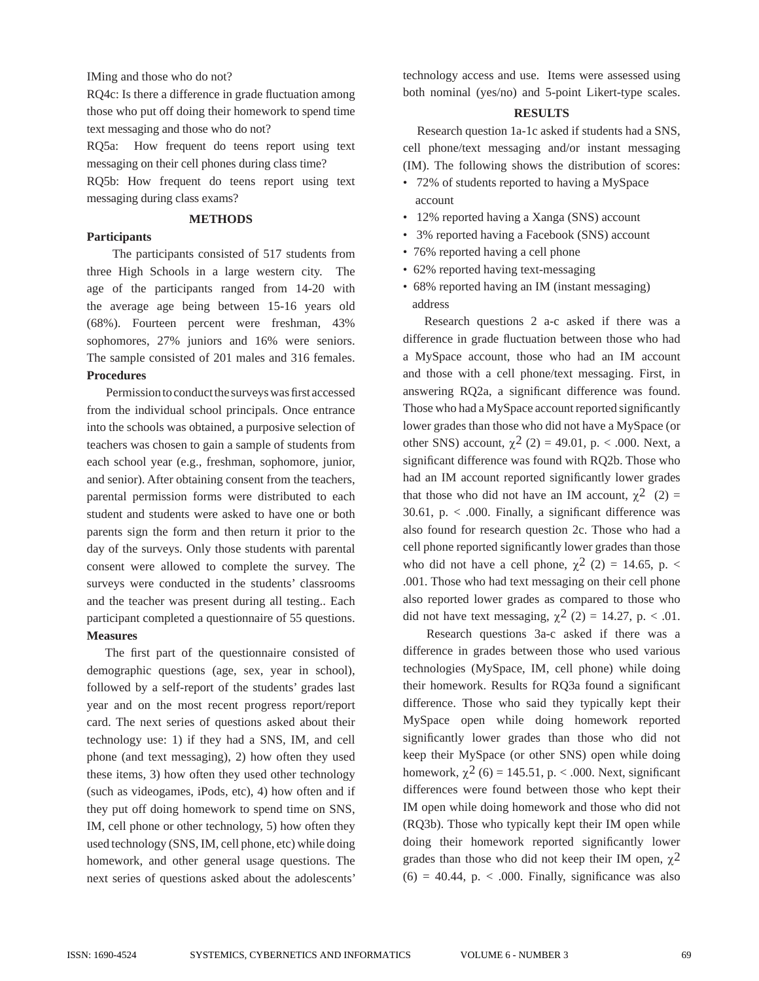IMing and those who do not?

RQ4c: Is there a difference in grade fluctuation among those who put off doing their homework to spend time text messaging and those who do not?

RQ5a: How frequent do teens report using text messaging on their cell phones during class time?

RQ5b: How frequent do teens report using text messaging during class exams?

## **METHODS**

### **Participants**

 The participants consisted of 517 students from three High Schools in a large western city. The age of the participants ranged from 14-20 with the average age being between 15-16 years old (68%). Fourteen percent were freshman, 43% sophomores, 27% juniors and 16% were seniors. The sample consisted of 201 males and 316 females. **Procedures** 

Permission to conduct the surveys was first accessed from the individual school principals. Once entrance into the schools was obtained, a purposive selection of teachers was chosen to gain a sample of students from each school year (e.g., freshman, sophomore, junior, and senior). After obtaining consent from the teachers, parental permission forms were distributed to each student and students were asked to have one or both parents sign the form and then return it prior to the day of the surveys. Only those students with parental consent were allowed to complete the survey. The surveys were conducted in the students' classrooms and the teacher was present during all testing.. Each participant completed a questionnaire of 55 questions. **Measures**

The first part of the questionnaire consisted of demographic questions (age, sex, year in school), followed by a self-report of the students' grades last year and on the most recent progress report/report card. The next series of questions asked about their technology use: 1) if they had a SNS, IM, and cell phone (and text messaging), 2) how often they used these items, 3) how often they used other technology (such as videogames, iPods, etc), 4) how often and if they put off doing homework to spend time on SNS, IM, cell phone or other technology, 5) how often they used technology (SNS, IM, cell phone, etc) while doing homework, and other general usage questions. The next series of questions asked about the adolescents'

technology access and use. Items were assessed using both nominal (yes/no) and 5-point Likert-type scales.

### **RESULTS**

 Research question 1a-1c asked if students had a SNS, cell phone/text messaging and/or instant messaging (IM). The following shows the distribution of scores:

- 72% of students reported to having a MySpace account
- 12% reported having a Xanga (SNS) account
- 3% reported having a Facebook (SNS) account
- 76% reported having a cell phone
- 62% reported having text-messaging
- 68% reported having an IM (instant messaging) address

 Research questions 2 a-c asked if there was a difference in grade fluctuation between those who had a MySpace account, those who had an IM account and those with a cell phone/text messaging. First, in answering RQ2a, a significant difference was found. Those who had a MySpace account reported significantly lower grades than those who did not have a MySpace (or other SNS) account,  $\chi^2$  (2) = 49.01, p. < .000. Next, a significant difference was found with RQ2b. Those who had an IM account reported significantly lower grades that those who did not have an IM account,  $\chi^2$  (2) = 30.61, p.  $\lt$  .000. Finally, a significant difference was also found for research question 2c. Those who had a cell phone reported significantly lower grades than those who did not have a cell phone,  $\chi^2$  (2) = 14.65, p. < .001. Those who had text messaging on their cell phone also reported lower grades as compared to those who did not have text messaging,  $\chi^2$  (2) = 14.27, p. < .01.

 Research questions 3a-c asked if there was a difference in grades between those who used various technologies (MySpace, IM, cell phone) while doing their homework. Results for RQ3a found a significant difference. Those who said they typically kept their MySpace open while doing homework reported significantly lower grades than those who did not keep their MySpace (or other SNS) open while doing homework,  $\chi^2$  (6) = 145.51, p. < .000. Next, significant differences were found between those who kept their IM open while doing homework and those who did not (RQ3b). Those who typically kept their IM open while doing their homework reported significantly lower grades than those who did not keep their IM open,  $\chi^2$  $(6) = 40.44$ , p. < .000. Finally, significance was also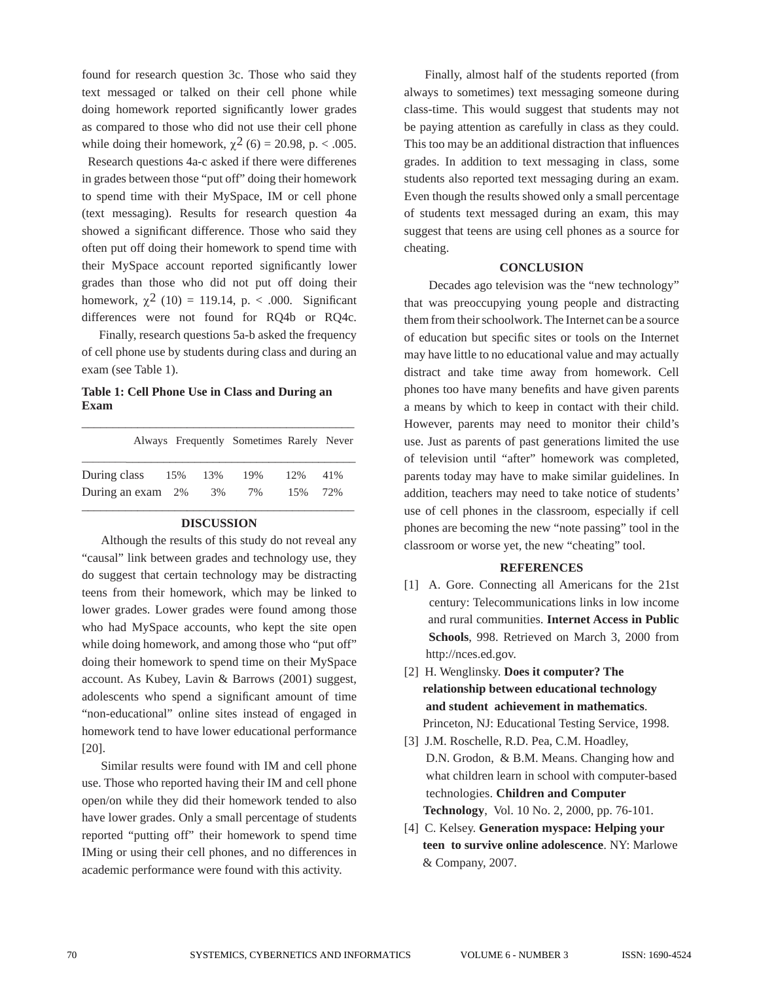found for research question 3c. Those who said they text messaged or talked on their cell phone while doing homework reported significantly lower grades as compared to those who did not use their cell phone while doing their homework,  $\chi^2$  (6) = 20.98, p. < .005.

 Research questions 4a-c asked if there were differenes in grades between those "put off" doing their homework to spend time with their MySpace, IM or cell phone (text messaging). Results for research question 4a showed a significant difference. Those who said they often put off doing their homework to spend time with their MySpace account reported significantly lower grades than those who did not put off doing their homework,  $\chi^2$  (10) = 119.14, p. < .000. Significant differences were not found for RQ4b or RQ4c.

 Finally, research questions 5a-b asked the frequency of cell phone use by students during class and during an exam (see Table 1).

# **Table 1: Cell Phone Use in Class and During an Exam**

|                      |    | Always Frequently Sometimes Rarely Never |     |     |
|----------------------|----|------------------------------------------|-----|-----|
| During class 15% 13% |    | 19%                                      | 12% | 41% |
| During an exam 2%    | 3% | 7%                                       | 15% | 72% |

# **DISCUSSION**

 Although the results of this study do not reveal any "causal" link between grades and technology use, they do suggest that certain technology may be distracting teens from their homework, which may be linked to lower grades. Lower grades were found among those who had MySpace accounts, who kept the site open while doing homework, and among those who "put off" doing their homework to spend time on their MySpace account. As Kubey, Lavin & Barrows (2001) suggest, adolescents who spend a significant amount of time "non-educational" online sites instead of engaged in homework tend to have lower educational performance [20].

 Similar results were found with IM and cell phone use. Those who reported having their IM and cell phone open/on while they did their homework tended to also have lower grades. Only a small percentage of students reported "putting off" their homework to spend time IMing or using their cell phones, and no differences in academic performance were found with this activity.

 Finally, almost half of the students reported (from always to sometimes) text messaging someone during class-time. This would suggest that students may not be paying attention as carefully in class as they could. This too may be an additional distraction that influences grades. In addition to text messaging in class, some students also reported text messaging during an exam. Even though the results showed only a small percentage of students text messaged during an exam, this may suggest that teens are using cell phones as a source for cheating.

#### **CONCLUSION**

 Decades ago television was the "new technology" that was preoccupying young people and distracting them from their schoolwork. The Internet can be a source of education but specific sites or tools on the Internet may have little to no educational value and may actually distract and take time away from homework. Cell phones too have many benefits and have given parents a means by which to keep in contact with their child. However, parents may need to monitor their child's use. Just as parents of past generations limited the use of television until "after" homework was completed, parents today may have to make similar guidelines. In addition, teachers may need to take notice of students' use of cell phones in the classroom, especially if cell phones are becoming the new "note passing" tool in the classroom or worse yet, the new "cheating" tool.

#### **REFERENCES**

- [1] A. Gore. Connecting all Americans for the 21st century: Telecommunications links in low income and rural communities. **Internet Access in Public Schools**, 998. Retrieved on March 3, 2000 from http://nces.ed.gov.
- [2] H. Wenglinsky. **Does it computer? The relationship between educational technology and student achievement in mathematics**. Princeton, NJ: Educational Testing Service, 1998.
- [3] J.M. Roschelle, R.D. Pea, C.M. Hoadley, D.N. Grodon, & B.M. Means. Changing how and what children learn in school with computer-based technologies. **Children and Computer Technology**, Vol. 10 No. 2, 2000, pp. 76-101.
- [4] C. Kelsey. **Generation myspace: Helping your teen to survive online adolescence**. NY: Marlowe & Company, 2007.